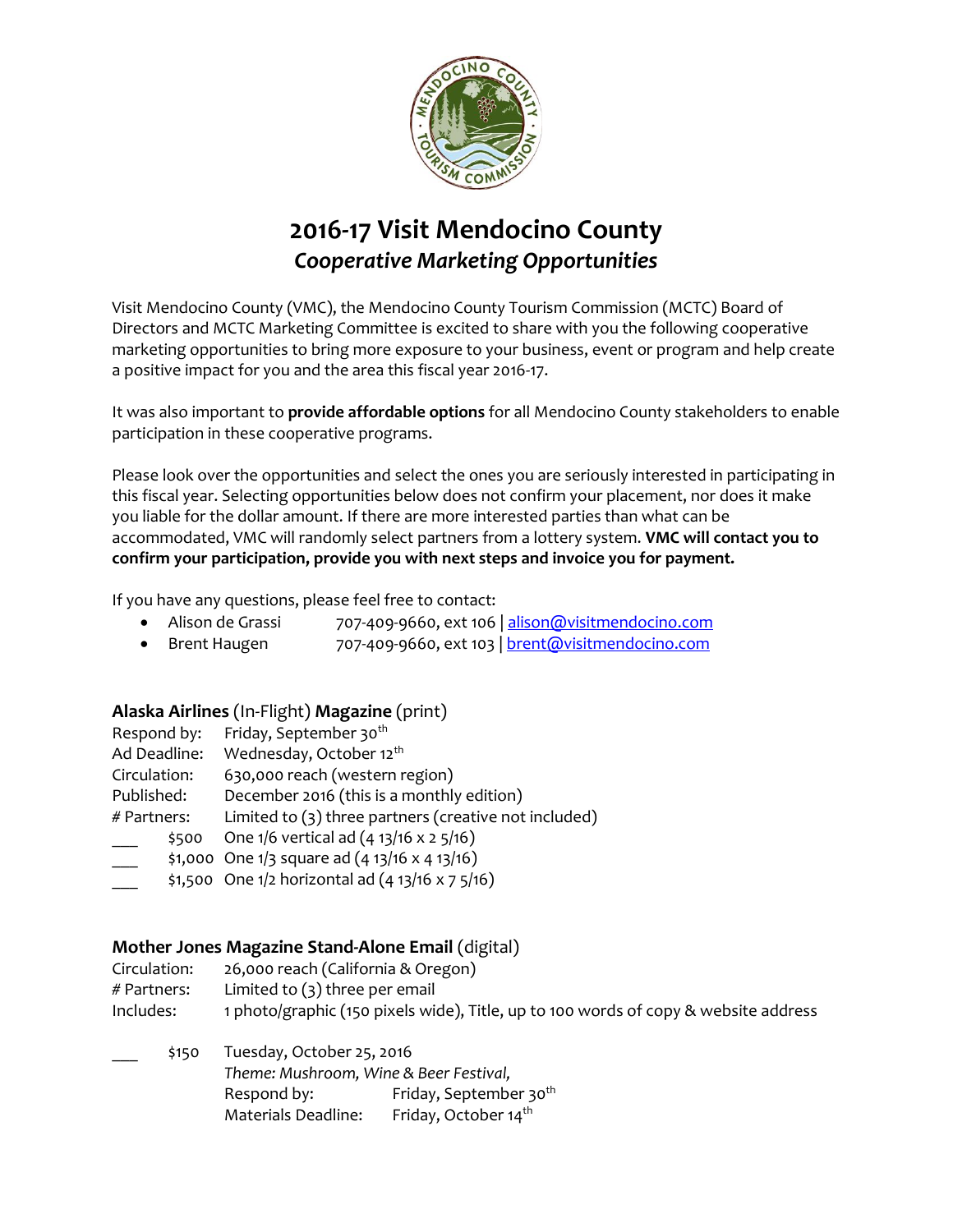

# **2016-17 Visit Mendocino County** *Cooperative Marketing Opportunities*

Visit Mendocino County (VMC), the Mendocino County Tourism Commission (MCTC) Board of Directors and MCTC Marketing Committee is excited to share with you the following cooperative marketing opportunities to bring more exposure to your business, event or program and help create a positive impact for you and the area this fiscal year 2016-17.

It was also important to **provide affordable options** for all Mendocino County stakeholders to enable participation in these cooperative programs.

Please look over the opportunities and select the ones you are seriously interested in participating in this fiscal year. Selecting opportunities below does not confirm your placement, nor does it make you liable for the dollar amount. If there are more interested parties than what can be accommodated, VMC will randomly select partners from a lottery system. **VMC will contact you to confirm your participation, provide you with next steps and invoice you for payment.**

If you have any questions, please feel free to contact:

- Alison de Grassi 707-409-9660, ext 106 [| alison@visitmendocino.com](mailto:alison@visitmendocino.com)
- Brent Haugen 707-409-9660, ext 103 [| brent@visitmendocino.com](mailto:brent@visitmendocino.com)

# **Alaska Airlines** (In-Flight) **Magazine** (print)

| Respond by:  |       | Friday, September 30 <sup>th</sup>                      |
|--------------|-------|---------------------------------------------------------|
| Ad Deadline: |       | Wednesday, October 12 <sup>th</sup>                     |
| Circulation: |       | 630,000 reach (western region)                          |
| Published:   |       | December 2016 (this is a monthly edition)               |
| # Partners:  |       | Limited to $(3)$ three partners (creative not included) |
|              | \$500 | One 1/6 vertical ad (4 13/16 x 2 5/16)                  |
|              |       | \$1,000 One $1/3$ square ad $(4 13/16 x 4 13/16)$       |
|              |       |                                                         |

 $$1,500$  One  $1/2$  horizontal ad  $(4\frac{13}{16} \times 7\frac{5}{16})$ 

# **Mother Jones Magazine Stand-Alone Email** (digital)

| Circulation:  | 26,000 reach (California & Oregon)                                                  |
|---------------|-------------------------------------------------------------------------------------|
| $#$ Partners: | Limited to $(3)$ three per email                                                    |
| Includes:     | 1 photo/graphic (150 pixels wide), Title, up to 100 words of copy & website address |

\_\_\_ \$150 Tuesday, October 25, 2016 *Theme: Mushroom, Wine & Beer Festival,*  Respond by: Friday, September 30<sup>th</sup> Materials Deadline: Friday, October 14<sup>th</sup>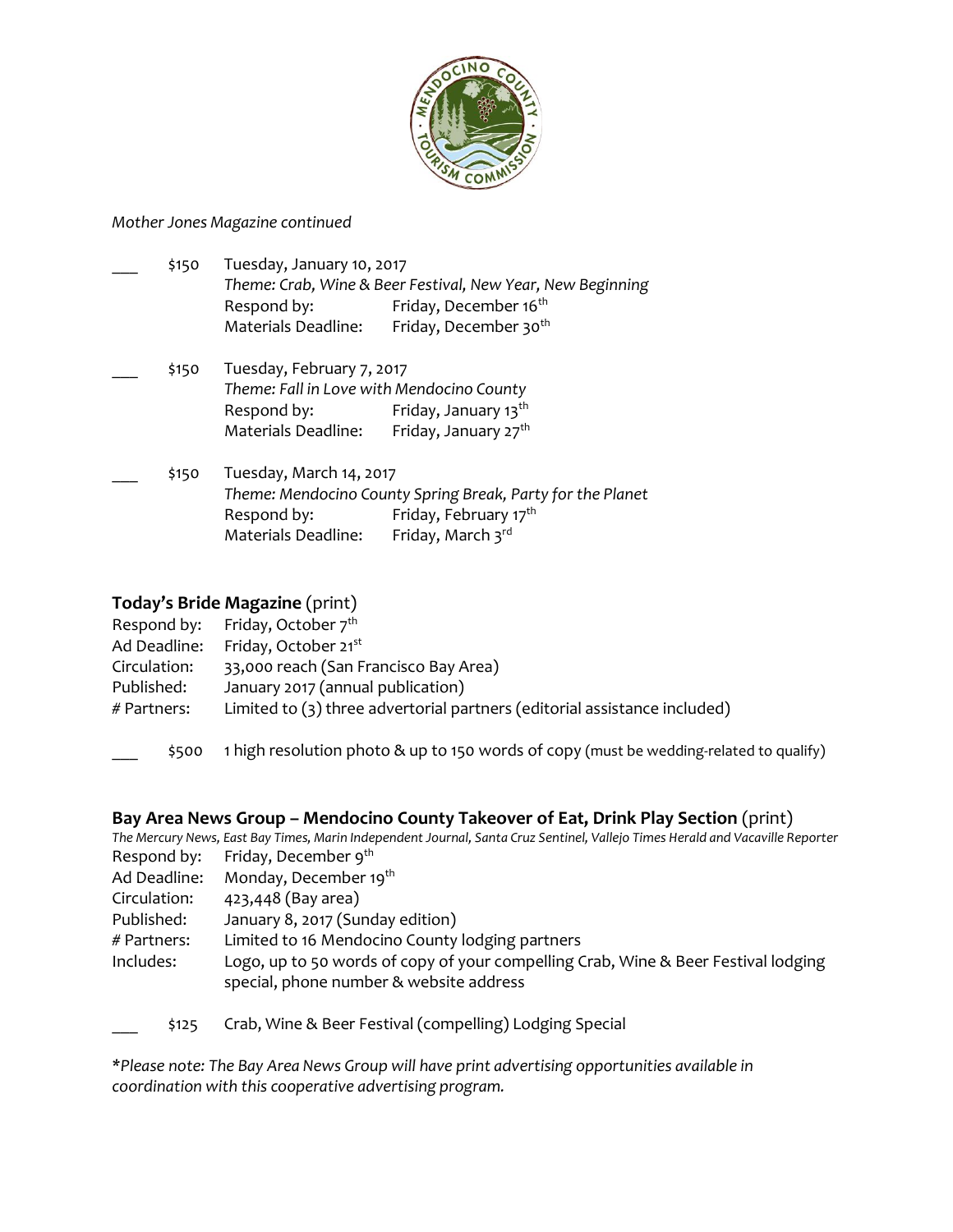

#### *Mother Jones Magazine continued*

| $\sim$ | \$150 | Tuesday, January 10, 2017<br>Theme: Crab, Wine & Beer Festival, New Year, New Beginning |                                                                        |
|--------|-------|-----------------------------------------------------------------------------------------|------------------------------------------------------------------------|
|        |       | Respond by:<br>Materials Deadline:                                                      | Friday, December 16 <sup>th</sup><br>Friday, December 30 <sup>th</sup> |

- \_\_\_ \$150 Tuesday, February 7, 2017 *Theme: Fall in Love with Mendocino County* Respond by: Friday, January 13<sup>th</sup> Materials Deadline: Friday, January 27<sup>th</sup>
- \_\_\_ \$150 Tuesday, March 14, 2017 *Theme: Mendocino County Spring Break, Party for the Planet* Respond by: Friday, February 17<sup>th</sup> Materials Deadline: Friday, March  $3^{\text{rd}}$

### **Today's Bride Magazine** (print)

|              | Respond by: Friday, October $7^{th}$                                      |
|--------------|---------------------------------------------------------------------------|
| Ad Deadline: | Friday, October 21 <sup>st</sup>                                          |
| Circulation: | 33,000 reach (San Francisco Bay Area)                                     |
| Published:   | January 2017 (annual publication)                                         |
| # Partners:  | Limited to (3) three advertorial partners (editorial assistance included) |
|              |                                                                           |

\_\_\_ \$500 1 high resolution photo & up to 150 words of copy (must be wedding-related to qualify)

#### **Bay Area News Group – Mendocino County Takeover of Eat, Drink Play Section** (print)

*The Mercury News, East Bay Times, Marin Independent Journal, Santa Cruz Sentinel, Vallejo Times Herald and Vacaville Reporter* Respond by: Friday, December 9<sup>th</sup>

- Ad Deadline: Monday, December 19<sup>th</sup>
- Circulation: 423,448 (Bay area)
- Published: January 8, 2017 (Sunday edition)
- # Partners: Limited to 16 Mendocino County lodging partners
- Includes: Logo, up to 50 words of copy of your compelling Crab, Wine & Beer Festival lodging special, phone number & website address
- \_\_\_ \$125 Crab, Wine & Beer Festival (compelling) Lodging Special

*\*Please note: The Bay Area News Group will have print advertising opportunities available in coordination with this cooperative advertising program.*